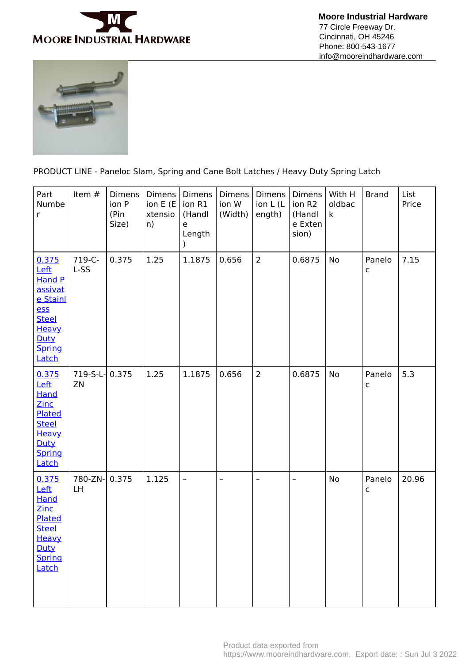

 **Moore Industrial Hardware** 77 Circle Freeway Dr. Cincinnati, OH 45246 Phone: 800-543-1677 info@mooreindhardware.com



PRODUCT LINE - Paneloc Slam, Spring and Cane Bolt Latches / Heavy Duty Spring Latch

| Part<br>Numbe<br>r                                                                                                             | Item #         | <b>Dimens</b><br>ion P<br>(Pin<br>Size) | Dimens<br>ion E (E<br>xtensio<br>n) | Dimens<br>ion R1<br>(Handl<br>e<br>Length<br>$\mathcal{C}$ | <b>Dimens</b><br>ion W<br>(Width) | <b>Dimens</b><br>ion L (L<br>ength) | <b>Dimens</b><br>ion R2<br>(Handl<br>e Exten<br>sion) | With H<br>oldbac<br>k | <b>Brand</b> | List<br>Price |
|--------------------------------------------------------------------------------------------------------------------------------|----------------|-----------------------------------------|-------------------------------------|------------------------------------------------------------|-----------------------------------|-------------------------------------|-------------------------------------------------------|-----------------------|--------------|---------------|
| 0.375<br>Left<br><b>Hand P</b><br>assivat<br>e Stainl<br><b>ess</b><br><b>Steel</b><br>Heavy<br>Duty<br><b>Spring</b><br>Latch | 719-C-<br>L-SS | 0.375                                   | 1.25                                | 1.1875                                                     | 0.656                             | $\overline{2}$                      | 0.6875                                                | No                    | Panelo<br>с  | 7.15          |
| 0.375<br>Left<br><b>Hand</b><br>Zinc<br>Plated<br><b>Steel</b><br>Heavy<br>Duty<br>Spring<br>Latch                             | 719-S-L-<br>ZN | 0.375                                   | 1.25                                | 1.1875                                                     | 0.656                             | $\overline{2}$                      | 0.6875                                                | No                    | Panelo<br>с  | 5.3           |
| 0.375<br>Left<br>Hand<br>Zinc<br>Plated<br><b>Steel</b><br>Heavy<br>Duty<br><b>Spring</b><br>Latch                             | 780-ZN-<br>LH  | 0.375                                   | 1.125                               | $\overline{\phantom{0}}$                                   | $\qquad \qquad -$                 | $\qquad \qquad -$                   | $\overline{\phantom{a}}$                              | <b>No</b>             | Panelo<br>с  | 20.96         |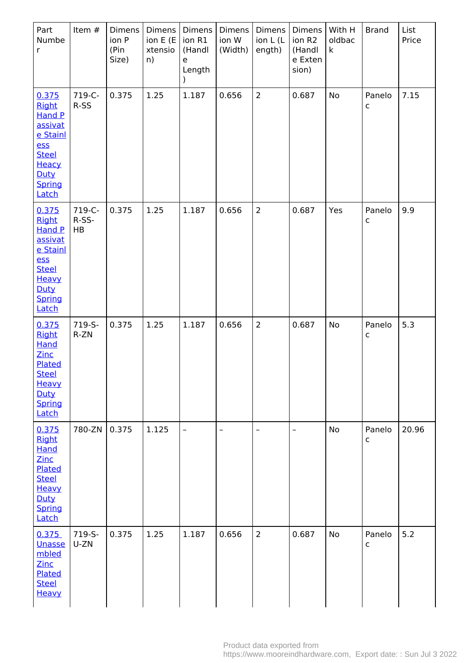| Part<br>Numbe<br>r                                                                                                                     | Item #                | Dimens<br>ion P<br>(Pin<br>Size) | Dimens  <br>ion E (E<br>xtensio<br>n) | Dimens<br>ion R1<br>(Handl<br>e<br>Length | Dimens<br>ion W<br>(Width) | <b>Dimens</b><br>ion L (L<br>ength) | Dimens<br>ion R2<br>(Handl<br>e Exten<br>sion) | With H<br>oldbac<br>$\mathsf k$ | <b>Brand</b>           | List<br>Price |
|----------------------------------------------------------------------------------------------------------------------------------------|-----------------------|----------------------------------|---------------------------------------|-------------------------------------------|----------------------------|-------------------------------------|------------------------------------------------|---------------------------------|------------------------|---------------|
| 0.375<br><b>Right</b><br>Hand P<br>assivat<br>e Stainl<br>ess<br><b>Steel</b><br>Heacy<br>Duty<br>Spring<br>Latch                      | 719-C-<br>R-SS        | 0.375                            | 1.25                                  | 1.187                                     | 0.656                      | $\overline{2}$                      | 0.687                                          | No                              | Panelo<br>$\mathsf{C}$ | 7.15          |
| 0.375<br><b>Right</b><br><b>Hand P</b><br><u>assivat</u><br>e Stainl<br>ess<br><b>Steel</b><br>Heavy<br>Duty<br><b>Spring</b><br>Latch | 719-C-<br>R-SS-<br>HB | 0.375                            | 1.25                                  | 1.187                                     | 0.656                      | $\overline{2}$                      | 0.687                                          | Yes                             | Panelo<br>c            | 9.9           |
| 0.375<br><b>Right</b><br><b>Hand</b><br><b>Zinc</b><br>Plated<br><b>Steel</b><br><b>Heavy</b><br>Duty<br><b>Spring</b><br><b>Latch</b> | 719-S-<br>$R-ZN$      | 0.375                            | 1.25                                  | 1.187                                     | 0.656                      | $\overline{2}$                      | 0.687                                          | No                              | Panelo<br>c            | 5.3           |
| 0.375<br><b>Right</b><br><b>Hand</b><br><b>Zinc</b><br>Plated<br><b>Steel</b><br>Heavy<br>Duty<br>Spring<br>Latch                      | 780-ZN                | 0.375                            | 1.125                                 | $\overline{\phantom{a}}$                  | $\qquad \qquad -$          | $\qquad \qquad -$                   | $\overline{\phantom{a}}$                       | No                              | Panelo<br>c            | 20.96         |
| 0.375<br>Unasse<br>mbled<br>Zinc<br>Plated<br><b>Steel</b><br>Heavy                                                                    | 719-S-<br>U-ZN        | 0.375                            | 1.25                                  | 1.187                                     | 0.656                      | $\overline{2}$                      | 0.687                                          | <b>No</b>                       | Panelo<br>c            | 5.2           |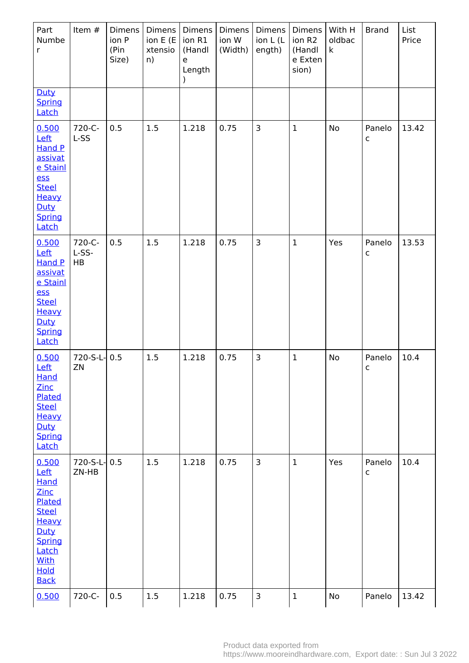| Part<br>Numbe<br>r                                                                                                                              | Item #                | <b>Dimens</b><br>ion P<br>(Pin<br>Size) | Dimens<br>ion E (E<br>xtensio<br>n) | Dimens<br>ion R1<br>(Handl<br>$\mathsf{e}% _{t}\left( \mathsf{e}\right)$<br>Length<br>$\lambda$ | Dimens<br>ion W<br>(Width) | <b>Dimens</b><br>ion L (L<br>ength) | <b>Dimens</b><br>ion R2<br>(Handl<br>e Exten<br>sion) | With H<br>oldbac<br>$\mathsf{k}$ | <b>Brand</b>           | List<br>Price |
|-------------------------------------------------------------------------------------------------------------------------------------------------|-----------------------|-----------------------------------------|-------------------------------------|-------------------------------------------------------------------------------------------------|----------------------------|-------------------------------------|-------------------------------------------------------|----------------------------------|------------------------|---------------|
| Duty<br><b>Spring</b><br>Latch                                                                                                                  |                       |                                         |                                     |                                                                                                 |                            |                                     |                                                       |                                  |                        |               |
| 0.500<br>Left<br><b>Hand P</b><br>assivat<br>e Stainl<br>ess<br><b>Steel</b><br>Heavy<br>Duty<br>Spring<br>Latch                                | 720-C-<br>L-SS        | 0.5                                     | 1.5                                 | 1.218                                                                                           | 0.75                       | $\overline{3}$                      | $\mathbf{1}$                                          | No                               | Panelo<br>$\mathsf{C}$ | 13.42         |
| 0.500<br>Left<br><b>Hand P</b><br>assivat<br>e Stainl<br>ess<br><b>Steel</b><br>Heavy<br>Duty<br>Spring<br>Latch                                | 720-C-<br>L-SS-<br>HB | 0.5                                     | 1.5                                 | 1.218                                                                                           | 0.75                       | $\overline{3}$                      | $\mathbf{1}$                                          | Yes                              | Panelo<br>$\mathsf C$  | 13.53         |
| 0.500<br>Left<br>Hand<br>Zinc<br>Plated<br><b>Steel</b><br>Heavy<br>Duty<br><b>Spring</b><br>Latch                                              | 720-S-L-<br>ZN        | 0.5                                     | 1.5                                 | 1.218                                                                                           | 0.75                       | $\overline{3}$                      | $\mathbf{1}$                                          | No                               | Panelo<br>$\mathsf{C}$ | 10.4          |
| 0.500<br>Left<br>Hand<br>Zinc<br>Plated<br><b>Steel</b><br>Heavy<br>Duty<br><b>Spring</b><br>Latch<br><b>With</b><br><b>Hold</b><br><b>Back</b> | 720-S-L-<br>ZN-HB     | 0.5                                     | 1.5                                 | 1.218                                                                                           | 0.75                       | $\overline{3}$                      | $\mathbf{1}$                                          | Yes                              | Panelo<br>$\mathsf{C}$ | 10.4          |
| 0.500                                                                                                                                           | 720-C-                | 0.5                                     | 1.5                                 | 1.218                                                                                           | 0.75                       | $\mathbf{3}$                        | $\mathbf 1$                                           | No                               | Panelo                 | 13.42         |